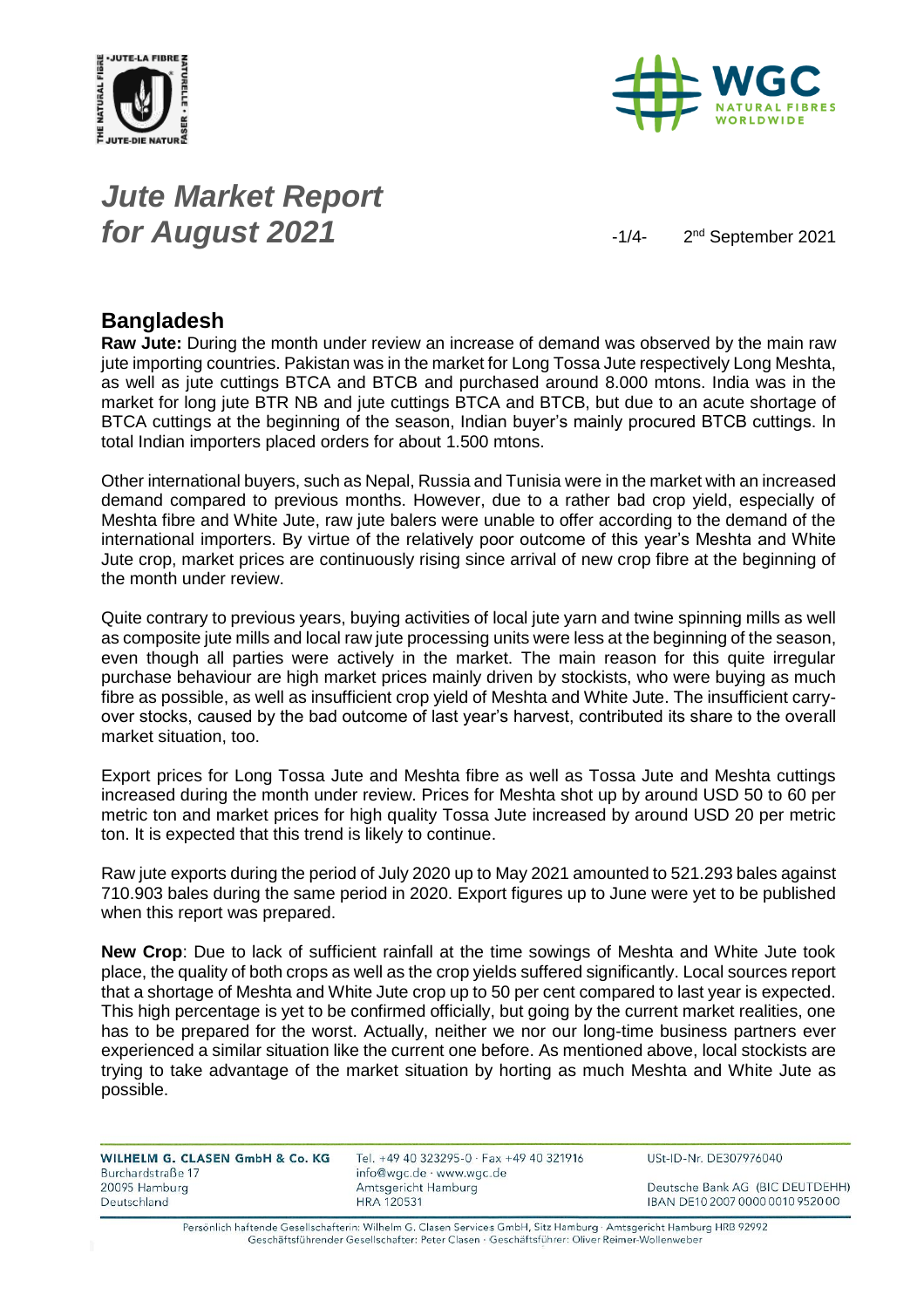



# *Jute Market Report for August* 2021 **2021**

2<sup>nd</sup> September 2021

#### **Bangladesh**

**Raw Jute:** During the month under review an increase of demand was observed by the main raw jute importing countries. Pakistan was in the market for Long Tossa Jute respectively Long Meshta, as well as jute cuttings BTCA and BTCB and purchased around 8.000 mtons. India was in the market for long jute BTR NB and jute cuttings BTCA and BTCB, but due to an acute shortage of BTCA cuttings at the beginning of the season, Indian buyer's mainly procured BTCB cuttings. In total Indian importers placed orders for about 1.500 mtons.

Other international buyers, such as Nepal, Russia and Tunisia were in the market with an increased demand compared to previous months. However, due to a rather bad crop yield, especially of Meshta fibre and White Jute, raw jute balers were unable to offer according to the demand of the international importers. By virtue of the relatively poor outcome of this year's Meshta and White Jute crop, market prices are continuously rising since arrival of new crop fibre at the beginning of the month under review.

Quite contrary to previous years, buying activities of local jute yarn and twine spinning mills as well as composite jute mills and local raw jute processing units were less at the beginning of the season, even though all parties were actively in the market. The main reason for this quite irregular purchase behaviour are high market prices mainly driven by stockists, who were buying as much fibre as possible, as well as insufficient crop yield of Meshta and White Jute. The insufficient carryover stocks, caused by the bad outcome of last year's harvest, contributed its share to the overall market situation, too.

Export prices for Long Tossa Jute and Meshta fibre as well as Tossa Jute and Meshta cuttings increased during the month under review. Prices for Meshta shot up by around USD 50 to 60 per metric ton and market prices for high quality Tossa Jute increased by around USD 20 per metric ton. It is expected that this trend is likely to continue.

Raw jute exports during the period of July 2020 up to May 2021 amounted to 521.293 bales against 710.903 bales during the same period in 2020. Export figures up to June were yet to be published when this report was prepared.

**New Crop**: Due to lack of sufficient rainfall at the time sowings of Meshta and White Jute took place, the quality of both crops as well as the crop yields suffered significantly. Local sources report that a shortage of Meshta and White Jute crop up to 50 per cent compared to last year is expected. This high percentage is yet to be confirmed officially, but going by the current market realities, one has to be prepared for the worst. Actually, neither we nor our long-time business partners ever experienced a similar situation like the current one before. As mentioned above, local stockists are trying to take advantage of the market situation by horting as much Meshta and White Jute as possible.

| WILHELM G. CLASEN GmbH & Co. KG |  |  |
|---------------------------------|--|--|
| Burchardstraße 17               |  |  |
| 20095 Hamburg                   |  |  |
| Deutschland                     |  |  |

Tel. +49 40 323295-0 · Fax +49 40 321916 info@wgc.de · www.wgc.de Amtsgericht Hamburg **HRA 120531** 

USt-ID-Nr. DE307976040

Deutsche Bank AG (BIC DEUTDEHH) IBAN DE10 2007 0000 0010 9520 00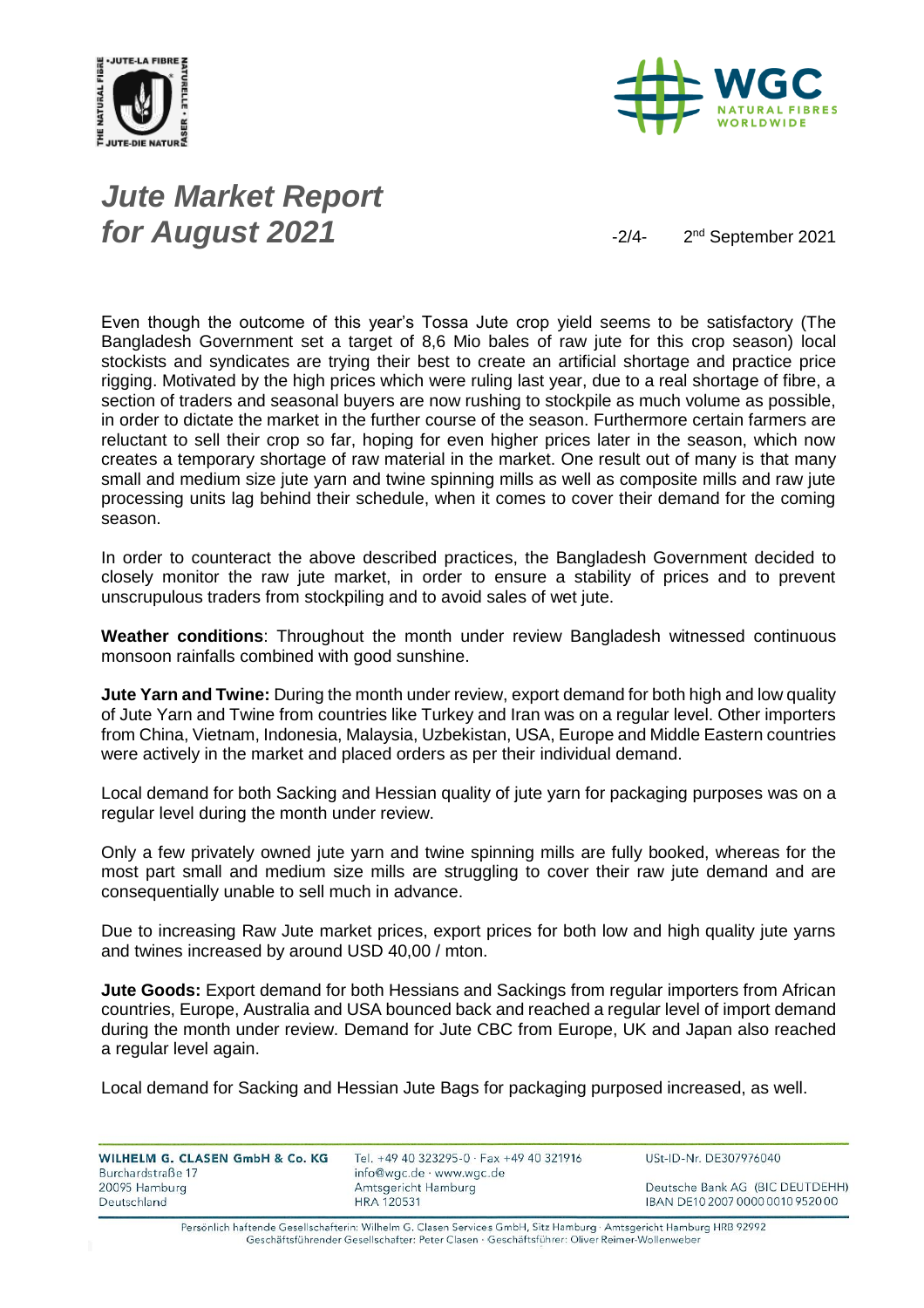



# *Jute Market Report for August 2021*  $\frac{2}{4}$

2<sup>nd</sup> September 2021

Even though the outcome of this year's Tossa Jute crop yield seems to be satisfactory (The Bangladesh Government set a target of 8,6 Mio bales of raw jute for this crop season) local stockists and syndicates are trying their best to create an artificial shortage and practice price rigging. Motivated by the high prices which were ruling last year, due to a real shortage of fibre, a section of traders and seasonal buyers are now rushing to stockpile as much volume as possible, in order to dictate the market in the further course of the season. Furthermore certain farmers are reluctant to sell their crop so far, hoping for even higher prices later in the season, which now creates a temporary shortage of raw material in the market. One result out of many is that many small and medium size jute yarn and twine spinning mills as well as composite mills and raw jute processing units lag behind their schedule, when it comes to cover their demand for the coming season.

In order to counteract the above described practices, the Bangladesh Government decided to closely monitor the raw jute market, in order to ensure a stability of prices and to prevent unscrupulous traders from stockpiling and to avoid sales of wet jute.

**Weather conditions**: Throughout the month under review Bangladesh witnessed continuous monsoon rainfalls combined with good sunshine.

**Jute Yarn and Twine:** During the month under review, export demand for both high and low quality of Jute Yarn and Twine from countries like Turkey and Iran was on a regular level. Other importers from China, Vietnam, Indonesia, Malaysia, Uzbekistan, USA, Europe and Middle Eastern countries were actively in the market and placed orders as per their individual demand.

Local demand for both Sacking and Hessian quality of jute yarn for packaging purposes was on a regular level during the month under review.

Only a few privately owned jute yarn and twine spinning mills are fully booked, whereas for the most part small and medium size mills are struggling to cover their raw jute demand and are consequentially unable to sell much in advance.

Due to increasing Raw Jute market prices, export prices for both low and high quality jute yarns and twines increased by around USD 40,00 / mton.

**Jute Goods:** Export demand for both Hessians and Sackings from regular importers from African countries, Europe, Australia and USA bounced back and reached a regular level of import demand during the month under review. Demand for Jute CBC from Europe, UK and Japan also reached a regular level again.

Local demand for Sacking and Hessian Jute Bags for packaging purposed increased, as well.

WILHELM G. CLASEN GmbH & Co. KG Burchardstraße 17 20095 Hamburg Deutschland

Tel. +49 40 323295-0 · Fax +49 40 321916 info@wgc.de · www.wgc.de Amtsgericht Hamburg **HRA 120531** 

USt-ID-Nr. DE307976040

Deutsche Bank AG (BIC DEUTDEHH) IBAN DE10 2007 0000 0010 9520 00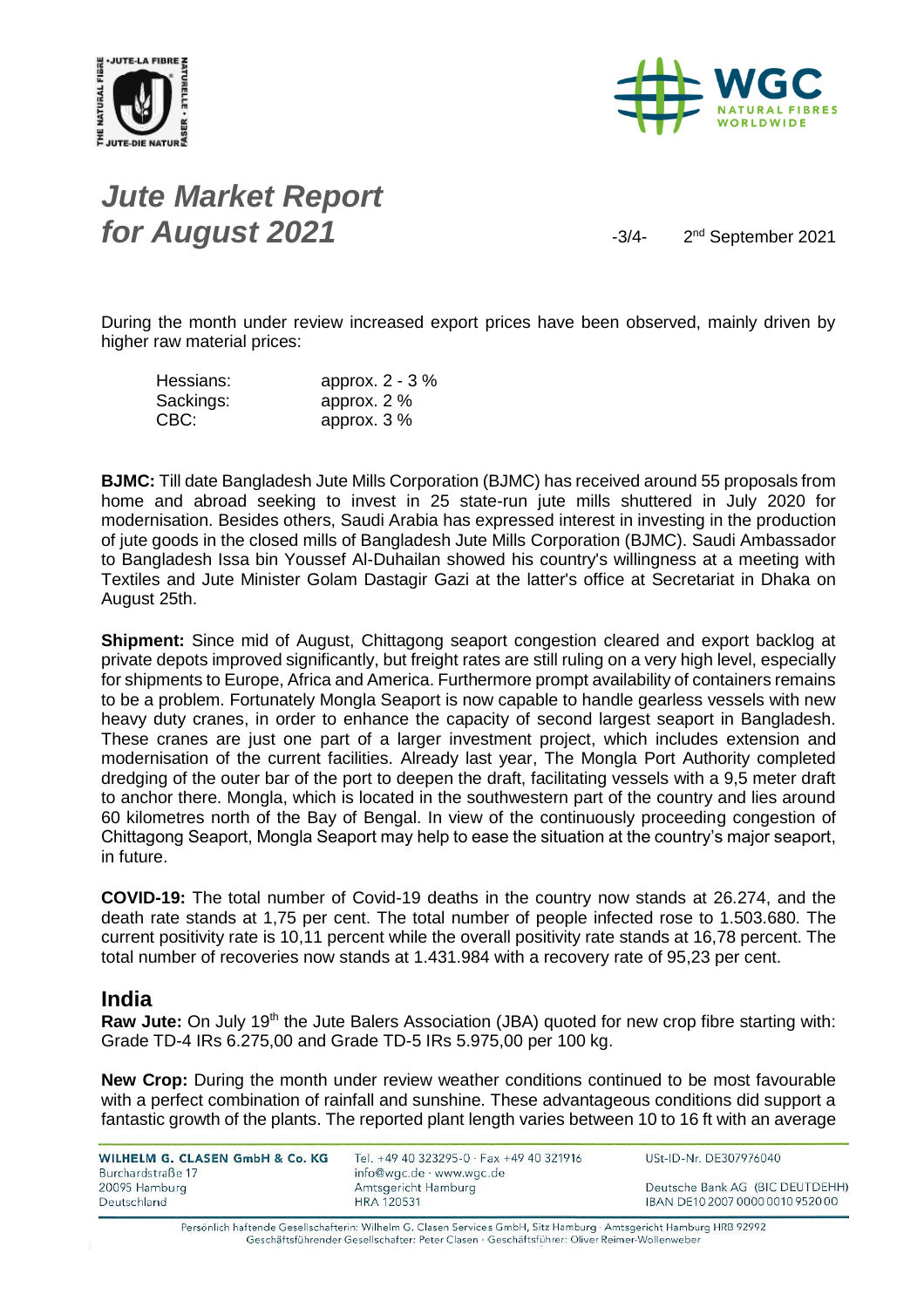



### *Jute Market Report for August 2021*  $\frac{3}{4}$

2<sup>nd</sup> September 2021

During the month under review increased export prices have been observed, mainly driven by higher raw material prices:

| Hessians: | approx. $2 - 3\%$ |
|-----------|-------------------|
| Sackings: | approx. $2\%$     |
| CBC:      | approx. $3\%$     |

**BJMC:** Till date Bangladesh Jute Mills Corporation (BJMC) has received around 55 proposals from home and abroad seeking to invest in 25 state-run jute mills shuttered in July 2020 for modernisation. Besides others, Saudi Arabia has expressed interest in investing in the production of jute goods in the closed mills of Bangladesh Jute Mills Corporation (BJMC). Saudi Ambassador to Bangladesh Issa bin Youssef Al-Duhailan showed his country's willingness at a meeting with Textiles and Jute Minister Golam Dastagir Gazi at the latter's office at Secretariat in Dhaka on August 25th.

**Shipment:** Since mid of August, Chittagong seaport congestion cleared and export backlog at private depots improved significantly, but freight rates are still ruling on a very high level, especially for shipments to Europe, Africa and America. Furthermore prompt availability of containers remains to be a problem. Fortunately Mongla Seaport is now capable to handle gearless vessels with new heavy duty cranes, in order to enhance the capacity of second largest seaport in Bangladesh. These cranes are just one part of a larger investment project, which includes extension and modernisation of the current facilities. Already last year, The Mongla Port Authority completed dredging of the outer bar of the port to deepen the draft, facilitating vessels with a 9,5 meter draft to anchor there. Mongla, which is located in the southwestern part of the country and lies around 60 kilometres north of the Bay of Bengal. In view of the continuously proceeding congestion of Chittagong Seaport, Mongla Seaport may help to ease the situation at the country's major seaport, in future.

**COVID-19:** The total number of Covid-19 deaths in the country now stands at 26.274, and the death rate stands at 1,75 per cent. The total number of people infected rose to 1.503.680. The current positivity rate is 10,11 percent while the overall positivity rate stands at 16,78 percent. The total number of recoveries now stands at 1.431.984 with a recovery rate of 95,23 per cent.

#### **India**

Raw Jute: On July 19<sup>th</sup> the Jute Balers Association (JBA) quoted for new crop fibre starting with: Grade TD-4 IRs 6.275,00 and Grade TD-5 IRs 5.975,00 per 100 kg.

**New Crop:** During the month under review weather conditions continued to be most favourable with a perfect combination of rainfall and sunshine. These advantageous conditions did support a fantastic growth of the plants. The reported plant length varies between 10 to 16 ft with an average

| WILHELM G. CLASEN GmbH & Co. KG<br>Burchardstraße 17 | Tel. +49 40 323295-0 · Fax +49 40 321916<br>info@wgc.de · www.wgc.de | USt-ID-Nr. DE307976040           |
|------------------------------------------------------|----------------------------------------------------------------------|----------------------------------|
| 20095 Hamburg                                        | Amtsgericht Hamburg                                                  | Deutsche Bank AG (BIC DEUTDEHH)  |
| Deutschland                                          | <b>HRA 120531</b>                                                    | IBAN DE10 2007 0000 0010 9520 00 |